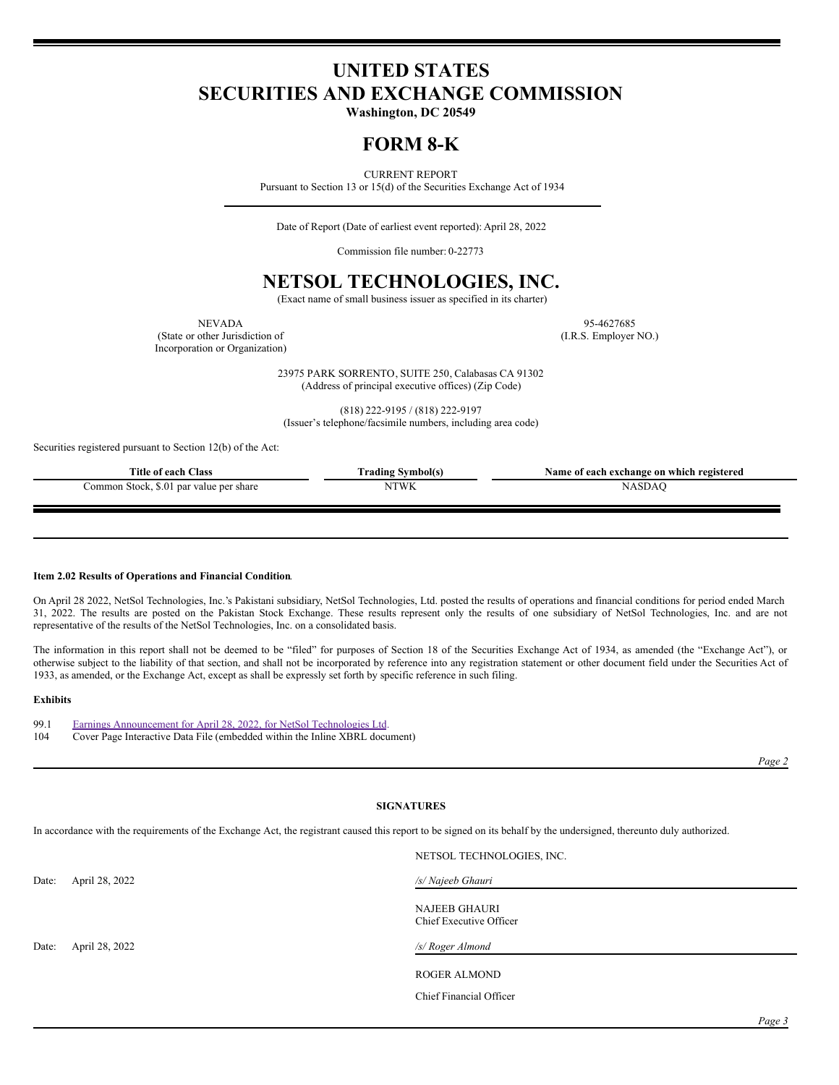# **UNITED STATES SECURITIES AND EXCHANGE COMMISSION**

**Washington, DC 20549**

## **FORM 8-K**

CURRENT REPORT

Pursuant to Section 13 or 15(d) of the Securities Exchange Act of 1934

Date of Report (Date of earliest event reported): April 28, 2022

Commission file number: 0-22773

## **NETSOL TECHNOLOGIES, INC.**

(Exact name of small business issuer as specified in its charter)

(State or other Jurisdiction of (I.R.S. Employer NO.) Incorporation or Organization)

NEVADA 95-4627685

23975 PARK SORRENTO, SUITE 250, Calabasas CA 91302 (Address of principal executive offices) (Zip Code)

(818) 222-9195 / (818) 222-9197 (Issuer's telephone/facsimile numbers, including area code)

Securities registered pursuant to Section 12(b) of the Act:

| Title of each Class                     | l'rading Symbol(s) | Name of each exchange on which registered |
|-----------------------------------------|--------------------|-------------------------------------------|
| Common Stock, \$.01 par value per share | NTWK               |                                           |

#### **Item 2.02 Results of Operations and Financial Condition**.

On April 28 2022, NetSol Technologies, Inc.'s Pakistani subsidiary, NetSol Technologies, Ltd. posted the results of operations and financial conditions for period ended March 31, 2022. The results are posted on the Pakistan Stock Exchange. These results represent only the results of one subsidiary of NetSol Technologies, Inc. and are not representative of the results of the NetSol Technologies, Inc. on a consolidated basis.

The information in this report shall not be deemed to be "filed" for purposes of Section 18 of the Securities Exchange Act of 1934, as amended (the "Exchange Act"), or otherwise subject to the liability of that section, and shall not be incorporated by reference into any registration statement or other document field under the Securities Act of 1933, as amended, or the Exchange Act, except as shall be expressly set forth by specific reference in such filing.

#### **Exhibits**

| 99.1 | Earnings Announcement for April 28, 2022, for NetSol Technologies Ltd.      |
|------|-----------------------------------------------------------------------------|
| 104  | Cover Page Interactive Data File (embedded within the Inline XBRL document) |

*Page 2*

### **SIGNATURES**

NETSOL TECHNOLOGIES, INC.

In accordance with the requirements of the Exchange Act, the registrant caused this report to be signed on its behalf by the undersigned, thereunto duly authorized.

|       |                | NETSUL TECHNOLOGIES, INC.                       |
|-------|----------------|-------------------------------------------------|
| Date: | April 28, 2022 | /s/ Najeeb Ghauri                               |
|       |                | <b>NAJEEB GHAURI</b><br>Chief Executive Officer |
| Date: | April 28, 2022 | /s/ Roger Almond                                |
|       |                | <b>ROGER ALMOND</b>                             |
|       |                | Chief Financial Officer                         |
|       |                |                                                 |